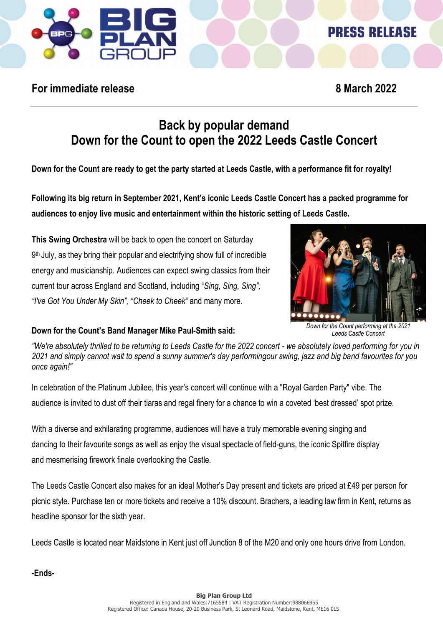

# **PRESS RELEASE**

## **For immediate release 8 March 2022**

# **Back by popular demand Down for the Count to open the 2022 Leeds Castle Concert**

**Down for the Count are ready to get the party started at Leeds Castle, with a performance fit for royalty!**

**Following its big return in September 2021, Kent's iconic Leeds Castle Concert has a packed programme for audiences to enjoy live music and entertainment within the historic setting of Leeds Castle.**

**This Swing Orchestra** will be back to open the concert on Saturday 9<sup>th</sup> July, as they bring their popular and electrifying show full of incredible energy and musicianship. Audiences can expect swing classics from their current tour across England and Scotland, including "*Sing, Sing, Sing", "I've Got You Under My Skin", "Cheek to Cheek"* and many more.



*Down for the Count performing at the 2021 Leeds Castle Concert*

#### **Down for the Count's Band Manager Mike Paul-Smith said:**

"We're absolutely thrilled to be returning to Leeds Castle for the 2022 concert - we absolutely loved performing for you in *2021 and simply cannot wait to spend a sunny summer's day performingour swing, jazz and big band favourites for you once again!"*

In celebration of the Platinum Jubilee, this year's concert will continue with a "Royal Garden Party" vibe. The audience is invited to dust off their tiaras and regal finery for a chance to win a coveted 'best dressed' spot prize.

With a diverse and exhilarating programme, audiences will have a truly memorable evening singing and dancing to their favourite songs as well as enjoy the visual spectacle of field-guns, the iconic Spitfire display and mesmerising firework finale overlooking the Castle.

The Leeds Castle Concert also makes for an ideal Mother's Day present and tickets are priced at £49 per person for picnic style. Purchase ten or more tickets and receive a 10% discount. Brachers, a leading law firm in Kent, returns as headline sponsor for the sixth year.

Leeds Castle is located near Maidstone in Kent just off Junction 8 of the M20 and only one hours drive from London.

**-Ends-**